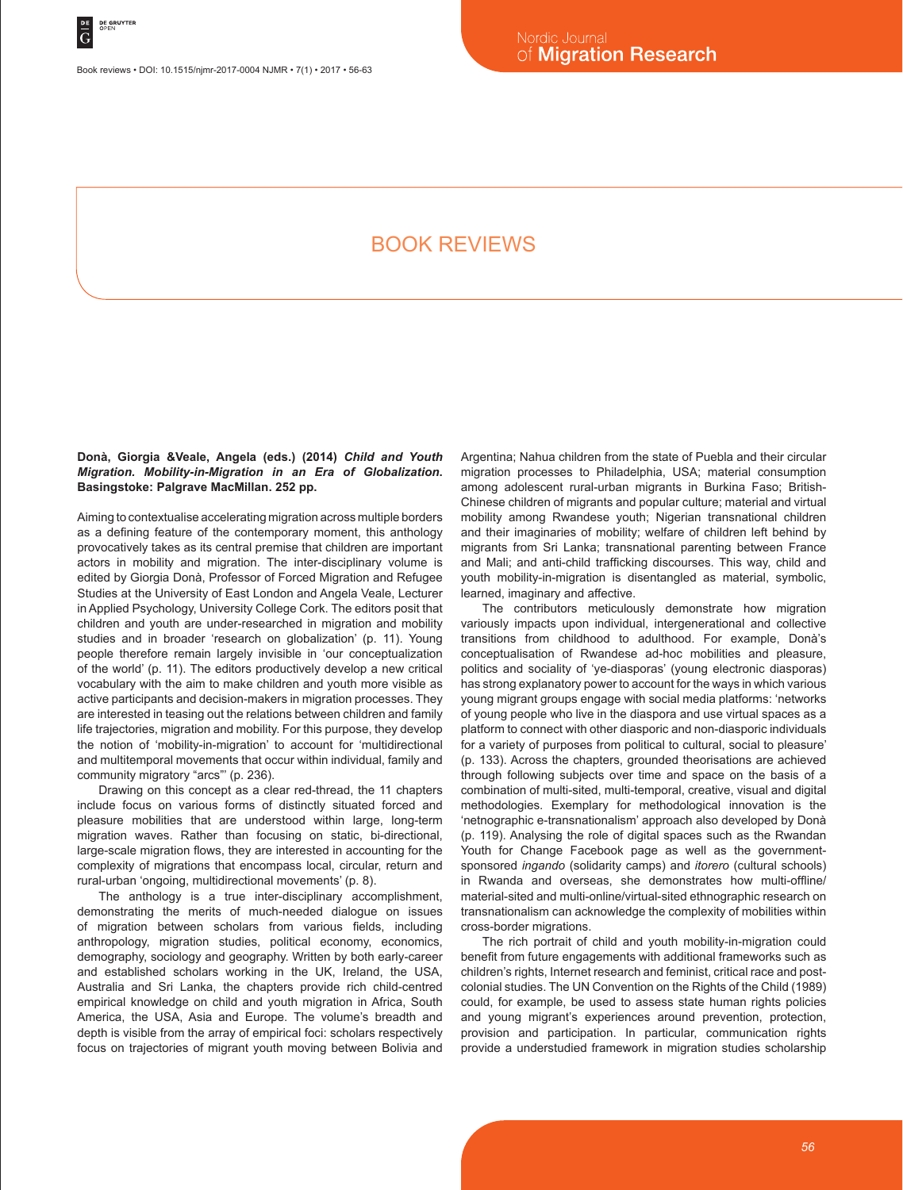Book reviews • DOI: 10.1515/njmr-2017-0004 NJMR • 7(1) • 2017 • 56-63

# BOOK REVIEWS

**Donà, Giorgia &Veale, Angela (eds.) (2014)** *Child and Youth Migration. Mobility-in-Migration in an Era of Globalization***. Basingstoke: Palgrave MacMillan. 252 pp.**

Aiming to contextualise accelerating migration across multiple borders as a defining feature of the contemporary moment, this anthology provocatively takes as its central premise that children are important actors in mobility and migration. The inter-disciplinary volume is edited by Giorgia Donà, Professor of Forced Migration and Refugee Studies at the University of East London and Angela Veale, Lecturer in Applied Psychology, University College Cork. The editors posit that children and youth are under-researched in migration and mobility studies and in broader 'research on globalization' (p. 11). Young people therefore remain largely invisible in 'our conceptualization of the world' (p. 11). The editors productively develop a new critical vocabulary with the aim to make children and youth more visible as active participants and decision-makers in migration processes. They are interested in teasing out the relations between children and family life trajectories, migration and mobility. For this purpose, they develop the notion of 'mobility-in-migration' to account for 'multidirectional and multitemporal movements that occur within individual, family and community migratory "arcs"' (p. 236).

Drawing on this concept as a clear red-thread, the 11 chapters include focus on various forms of distinctly situated forced and pleasure mobilities that are understood within large, long-term migration waves. Rather than focusing on static, bi-directional, large-scale migration flows, they are interested in accounting for the complexity of migrations that encompass local, circular, return and rural-urban 'ongoing, multidirectional movements' (p. 8).

The anthology is a true inter-disciplinary accomplishment, demonstrating the merits of much-needed dialogue on issues of migration between scholars from various fields, including anthropology, migration studies, political economy, economics, demography, sociology and geography. Written by both early-career and established scholars working in the UK, Ireland, the USA, Australia and Sri Lanka, the chapters provide rich child-centred empirical knowledge on child and youth migration in Africa, South America, the USA, Asia and Europe. The volume's breadth and depth is visible from the array of empirical foci: scholars respectively focus on trajectories of migrant youth moving between Bolivia and Argentina; Nahua children from the state of Puebla and their circular migration processes to Philadelphia, USA; material consumption among adolescent rural-urban migrants in Burkina Faso; British-Chinese children of migrants and popular culture; material and virtual mobility among Rwandese youth; Nigerian transnational children and their imaginaries of mobility; welfare of children left behind by migrants from Sri Lanka; transnational parenting between France and Mali; and anti-child trafficking discourses. This way, child and youth mobility-in-migration is disentangled as material, symbolic, learned, imaginary and affective.

The contributors meticulously demonstrate how migration variously impacts upon individual, intergenerational and collective transitions from childhood to adulthood. For example, Donà's conceptualisation of Rwandese ad-hoc mobilities and pleasure, politics and sociality of 'ye-diasporas' (young electronic diasporas) has strong explanatory power to account for the ways in which various young migrant groups engage with social media platforms: 'networks of young people who live in the diaspora and use virtual spaces as a platform to connect with other diasporic and non-diasporic individuals for a variety of purposes from political to cultural, social to pleasure' (p. 133). Across the chapters, grounded theorisations are achieved through following subjects over time and space on the basis of a combination of multi-sited, multi-temporal, creative, visual and digital methodologies. Exemplary for methodological innovation is the 'netnographic e-transnationalism' approach also developed by Donà (p. 119). Analysing the role of digital spaces such as the Rwandan Youth for Change Facebook page as well as the governmentsponsored *ingando* (solidarity camps) and *itorero* (cultural schools) in Rwanda and overseas, she demonstrates how multi-offline/ material-sited and multi-online/virtual-sited ethnographic research on transnationalism can acknowledge the complexity of mobilities within cross-border migrations.

The rich portrait of child and youth mobility-in-migration could benefit from future engagements with additional frameworks such as children's rights, Internet research and feminist, critical race and postcolonial studies. The UN Convention on the Rights of the Child (1989) could, for example, be used to assess state human rights policies and young migrant's experiences around prevention, protection, provision and participation. In particular, communication rights provide a understudied framework in migration studies scholarship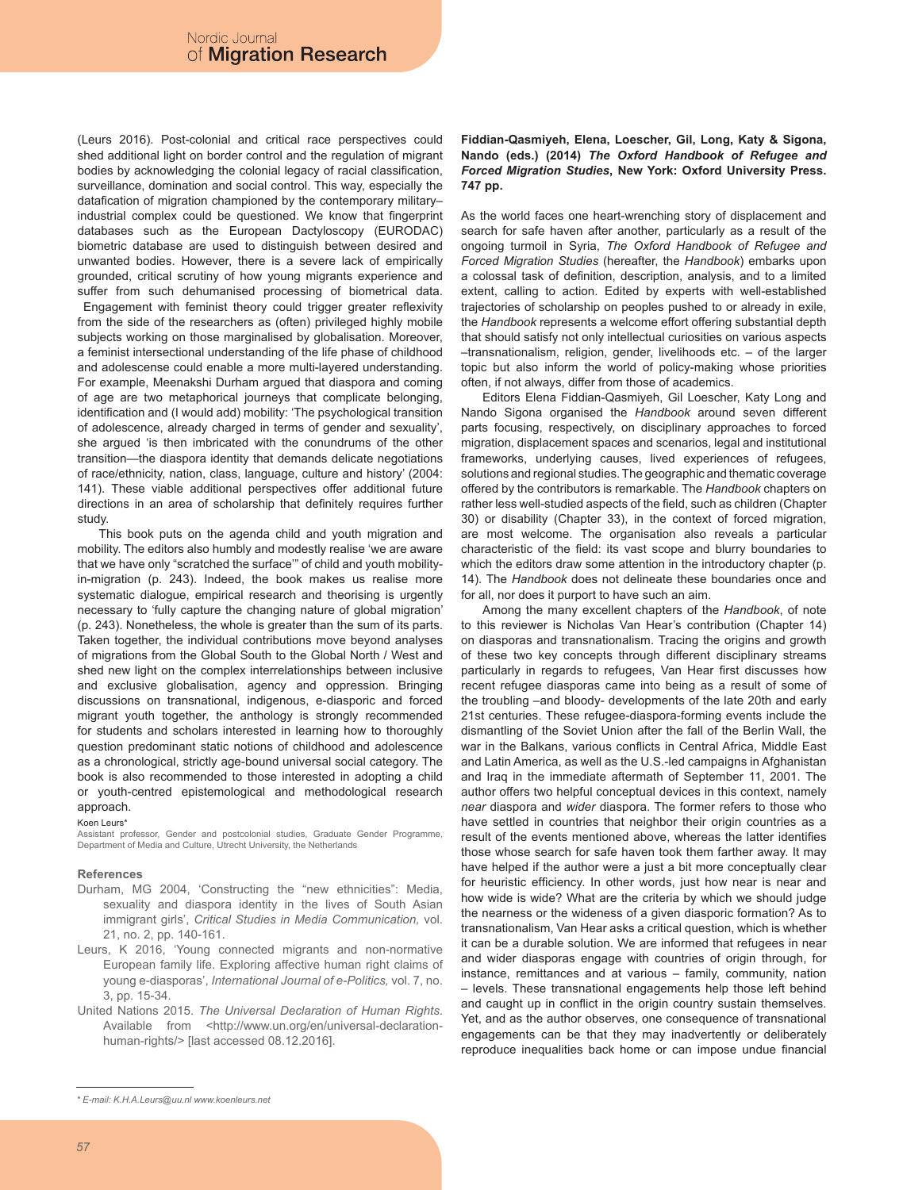(Leurs 2016). Post-colonial and critical race perspectives could shed additional light on border control and the regulation of migrant bodies by acknowledging the colonial legacy of racial classification, surveillance, domination and social control. This way, especially the datafication of migration championed by the contemporary military– industrial complex could be questioned. We know that fingerprint databases such as the European Dactyloscopy (EURODAC) biometric database are used to distinguish between desired and unwanted bodies. However, there is a severe lack of empirically grounded, critical scrutiny of how young migrants experience and suffer from such dehumanised processing of biometrical data. Engagement with feminist theory could trigger greater reflexivity from the side of the researchers as (often) privileged highly mobile subjects working on those marginalised by globalisation. Moreover, a feminist intersectional understanding of the life phase of childhood and adolescense could enable a more multi-layered understanding. For example, Meenakshi Durham argued that diaspora and coming of age are two metaphorical journeys that complicate belonging, identification and (I would add) mobility: 'The psychological transition of adolescence, already charged in terms of gender and sexuality', she argued 'is then imbricated with the conundrums of the other transition—the diaspora identity that demands delicate negotiations of race/ethnicity, nation, class, language, culture and history' (2004: 141). These viable additional perspectives offer additional future directions in an area of scholarship that definitely requires further study.

This book puts on the agenda child and youth migration and mobility. The editors also humbly and modestly realise 'we are aware that we have only "scratched the surface'" of child and youth mobilityin-migration (p. 243). Indeed, the book makes us realise more systematic dialogue, empirical research and theorising is urgently necessary to 'fully capture the changing nature of global migration' (p. 243). Nonetheless, the whole is greater than the sum of its parts. Taken together, the individual contributions move beyond analyses of migrations from the Global South to the Global North / West and shed new light on the complex interrelationships between inclusive and exclusive globalisation, agency and oppression. Bringing discussions on transnational, indigenous, e-diasporic and forced migrant youth together, the anthology is strongly recommended for students and scholars interested in learning how to thoroughly question predominant static notions of childhood and adolescence as a chronological, strictly age-bound universal social category. The book is also recommended to those interested in adopting a child or youth-centred epistemological and methodological research approach.

Koen Leurs\*

Assistant professor, Gender and postcolonial studies, Graduate Gender Programme, Department of Media and Culture, Utrecht University, the Netherlands

#### **References**

- Durham, MG 2004, 'Constructing the "new ethnicities": Media, sexuality and diaspora identity in the lives of South Asian immigrant girls', *Critical Studies in Media Communication,* vol. 21, no. 2, pp. 140-161.
- Leurs, K 2016, 'Young connected migrants and non-normative European family life. Exploring affective human right claims of young e-diasporas', *International Journal of e-Politics,* vol. 7, no. 3, pp. 15-34.
- United Nations 2015. *The Universal Declaration of Human Rights*. Available from <http://www.un.org/en/universal-declarationhuman-rights/> [last accessed 08.12.2016].

As the world faces one heart-wrenching story of displacement and search for safe haven after another, particularly as a result of the ongoing turmoil in Syria, *The Oxford Handbook of Refugee and Forced Migration Studies* (hereafter, the *Handbook*) embarks upon a colossal task of definition, description, analysis, and to a limited extent, calling to action. Edited by experts with well-established trajectories of scholarship on peoples pushed to or already in exile, the *Handbook* represents a welcome effort offering substantial depth that should satisfy not only intellectual curiosities on various aspects –transnationalism, religion, gender, livelihoods etc. – of the larger topic but also inform the world of policy-making whose priorities often, if not always, differ from those of academics.

Editors Elena Fiddian-Qasmiyeh, Gil Loescher, Katy Long and Nando Sigona organised the *Handbook* around seven different parts focusing, respectively, on disciplinary approaches to forced migration, displacement spaces and scenarios, legal and institutional frameworks, underlying causes, lived experiences of refugees, solutions and regional studies. The geographic and thematic coverage offered by the contributors is remarkable. The *Handbook* chapters on rather less well-studied aspects of the field, such as children (Chapter 30) or disability (Chapter 33), in the context of forced migration, are most welcome. The organisation also reveals a particular characteristic of the field: its vast scope and blurry boundaries to which the editors draw some attention in the introductory chapter (p. 14). The *Handbook* does not delineate these boundaries once and for all, nor does it purport to have such an aim.

Among the many excellent chapters of the *Handbook*, of note to this reviewer is Nicholas Van Hear's contribution (Chapter 14) on diasporas and transnationalism. Tracing the origins and growth of these two key concepts through different disciplinary streams particularly in regards to refugees, Van Hear first discusses how recent refugee diasporas came into being as a result of some of the troubling –and bloody- developments of the late 20th and early 21st centuries. These refugee-diaspora-forming events include the dismantling of the Soviet Union after the fall of the Berlin Wall, the war in the Balkans, various conflicts in Central Africa, Middle East and Latin America, as well as the U.S.-led campaigns in Afghanistan and Iraq in the immediate aftermath of September 11, 2001. The author offers two helpful conceptual devices in this context, namely *near* diaspora and *wider* diaspora. The former refers to those who have settled in countries that neighbor their origin countries as a result of the events mentioned above, whereas the latter identifies those whose search for safe haven took them farther away. It may have helped if the author were a just a bit more conceptually clear for heuristic efficiency. In other words, just how near is near and how wide is wide? What are the criteria by which we should judge the nearness or the wideness of a given diasporic formation? As to transnationalism, Van Hear asks a critical question, which is whether it can be a durable solution. We are informed that refugees in near and wider diasporas engage with countries of origin through, for instance, remittances and at various – family, community, nation – levels. These transnational engagements help those left behind and caught up in conflict in the origin country sustain themselves. Yet, and as the author observes, one consequence of transnational engagements can be that they may inadvertently or deliberately reproduce inequalities back home or can impose undue financial

**Fiddian-Qasmiyeh, Elena, Loescher, Gil, Long, Katy & Sigona, Nando (eds.) (2014)** *The Oxford Handbook of Refugee and Forced Migration Studies***, New York: Oxford University Press. 747 pp.**

*<sup>\*</sup> E-mail: K.H.A.Leurs@uu.nl www.koenleurs.net*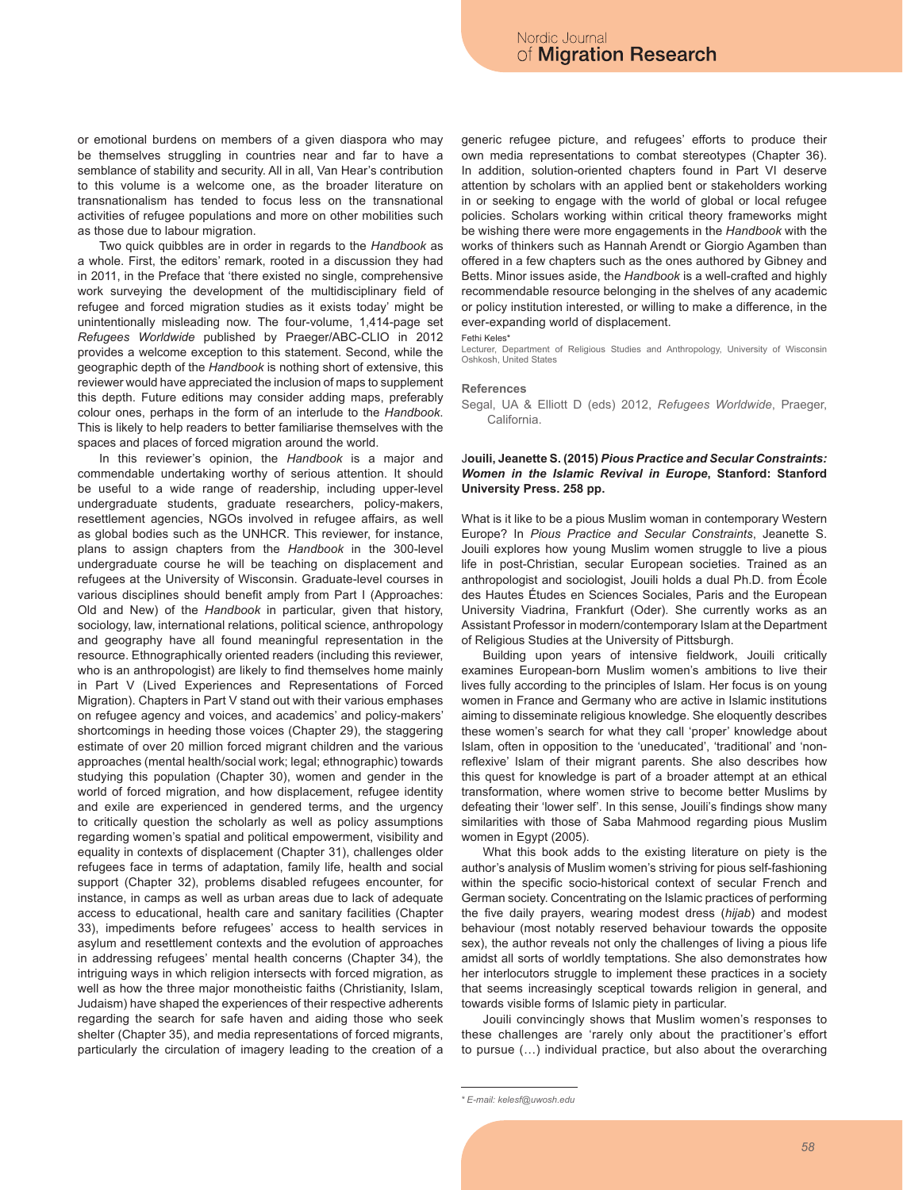or emotional burdens on members of a given diaspora who may be themselves struggling in countries near and far to have a semblance of stability and security. All in all, Van Hear's contribution to this volume is a welcome one, as the broader literature on transnationalism has tended to focus less on the transnational activities of refugee populations and more on other mobilities such as those due to labour migration.

Two quick quibbles are in order in regards to the *Handbook* as a whole. First, the editors' remark, rooted in a discussion they had in 2011, in the Preface that 'there existed no single, comprehensive work surveying the development of the multidisciplinary field of refugee and forced migration studies as it exists today' might be unintentionally misleading now. The four-volume, 1,414-page set *Refugees Worldwide* published by Praeger/ABC-CLIO in 2012 provides a welcome exception to this statement. Second, while the geographic depth of the *Handbook* is nothing short of extensive, this reviewer would have appreciated the inclusion of maps to supplement this depth. Future editions may consider adding maps, preferably colour ones, perhaps in the form of an interlude to the *Handbook*. This is likely to help readers to better familiarise themselves with the spaces and places of forced migration around the world.

In this reviewer's opinion, the *Handbook* is a major and commendable undertaking worthy of serious attention. It should be useful to a wide range of readership, including upper-level undergraduate students, graduate researchers, policy-makers, resettlement agencies, NGOs involved in refugee affairs, as well as global bodies such as the UNHCR. This reviewer, for instance, plans to assign chapters from the *Handbook* in the 300-level undergraduate course he will be teaching on displacement and refugees at the University of Wisconsin. Graduate-level courses in various disciplines should benefit amply from Part I (Approaches: Old and New) of the *Handbook* in particular, given that history, sociology, law, international relations, political science, anthropology and geography have all found meaningful representation in the resource. Ethnographically oriented readers (including this reviewer, who is an anthropologist) are likely to find themselves home mainly in Part V (Lived Experiences and Representations of Forced Migration). Chapters in Part V stand out with their various emphases on refugee agency and voices, and academics' and policy-makers' shortcomings in heeding those voices (Chapter 29), the staggering estimate of over 20 million forced migrant children and the various approaches (mental health/social work; legal; ethnographic) towards studying this population (Chapter 30), women and gender in the world of forced migration, and how displacement, refugee identity and exile are experienced in gendered terms, and the urgency to critically question the scholarly as well as policy assumptions regarding women's spatial and political empowerment, visibility and equality in contexts of displacement (Chapter 31), challenges older refugees face in terms of adaptation, family life, health and social support (Chapter 32), problems disabled refugees encounter, for instance, in camps as well as urban areas due to lack of adequate access to educational, health care and sanitary facilities (Chapter 33), impediments before refugees' access to health services in asylum and resettlement contexts and the evolution of approaches in addressing refugees' mental health concerns (Chapter 34), the intriguing ways in which religion intersects with forced migration, as well as how the three major monotheistic faiths (Christianity, Islam, Judaism) have shaped the experiences of their respective adherents regarding the search for safe haven and aiding those who seek shelter (Chapter 35), and media representations of forced migrants, particularly the circulation of imagery leading to the creation of a generic refugee picture, and refugees' efforts to produce their own media representations to combat stereotypes (Chapter 36). In addition, solution-oriented chapters found in Part VI deserve attention by scholars with an applied bent or stakeholders working in or seeking to engage with the world of global or local refugee policies. Scholars working within critical theory frameworks might be wishing there were more engagements in the *Handbook* with the works of thinkers such as Hannah Arendt or Giorgio Agamben than offered in a few chapters such as the ones authored by Gibney and Betts. Minor issues aside, the *Handbook* is a well-crafted and highly recommendable resource belonging in the shelves of any academic or policy institution interested, or willing to make a difference, in the ever-expanding world of displacement.

Fethi Keles\*

Lecturer, Department of Religious Studies and Anthropology, University of Wisconsin Oshkosh, United States

#### **References**

Segal, UA & Elliott D (eds) 2012, *Refugees Worldwide*, Praeger, California.

# J**ouili, Jeanette S. (2015)** *Pious Practice and Secular Constraints: Women in the Islamic Revival in Europe***, Stanford: Stanford University Press. 258 pp.**

What is it like to be a pious Muslim woman in contemporary Western Europe? In *Pious Practice and Secular Constraints*, Jeanette S. Jouili explores how young Muslim women struggle to live a pious life in post-Christian, secular European societies. Trained as an anthropologist and sociologist, Jouili holds a dual Ph.D. from École des Hautes Études en Sciences Sociales, Paris and the European University Viadrina, Frankfurt (Oder). She currently works as an Assistant Professor in modern/contemporary Islam at the Department of Religious Studies at the University of Pittsburgh.

Building upon years of intensive fieldwork, Jouili critically examines European-born Muslim women's ambitions to live their lives fully according to the principles of Islam. Her focus is on young women in France and Germany who are active in Islamic institutions aiming to disseminate religious knowledge. She eloquently describes these women's search for what they call 'proper' knowledge about Islam, often in opposition to the 'uneducated', 'traditional' and 'nonreflexive' Islam of their migrant parents. She also describes how this quest for knowledge is part of a broader attempt at an ethical transformation, where women strive to become better Muslims by defeating their 'lower self'. In this sense, Jouili's findings show many similarities with those of Saba Mahmood regarding pious Muslim women in Egypt (2005).

What this book adds to the existing literature on piety is the author's analysis of Muslim women's striving for pious self-fashioning within the specific socio-historical context of secular French and German society. Concentrating on the Islamic practices of performing the five daily prayers, wearing modest dress (*hijab*) and modest behaviour (most notably reserved behaviour towards the opposite sex), the author reveals not only the challenges of living a pious life amidst all sorts of worldly temptations. She also demonstrates how her interlocutors struggle to implement these practices in a society that seems increasingly sceptical towards religion in general, and towards visible forms of Islamic piety in particular.

Jouili convincingly shows that Muslim women's responses to these challenges are 'rarely only about the practitioner's effort to pursue (…) individual practice, but also about the overarching

*<sup>\*</sup> E-mail: kelesf@uwosh.edu*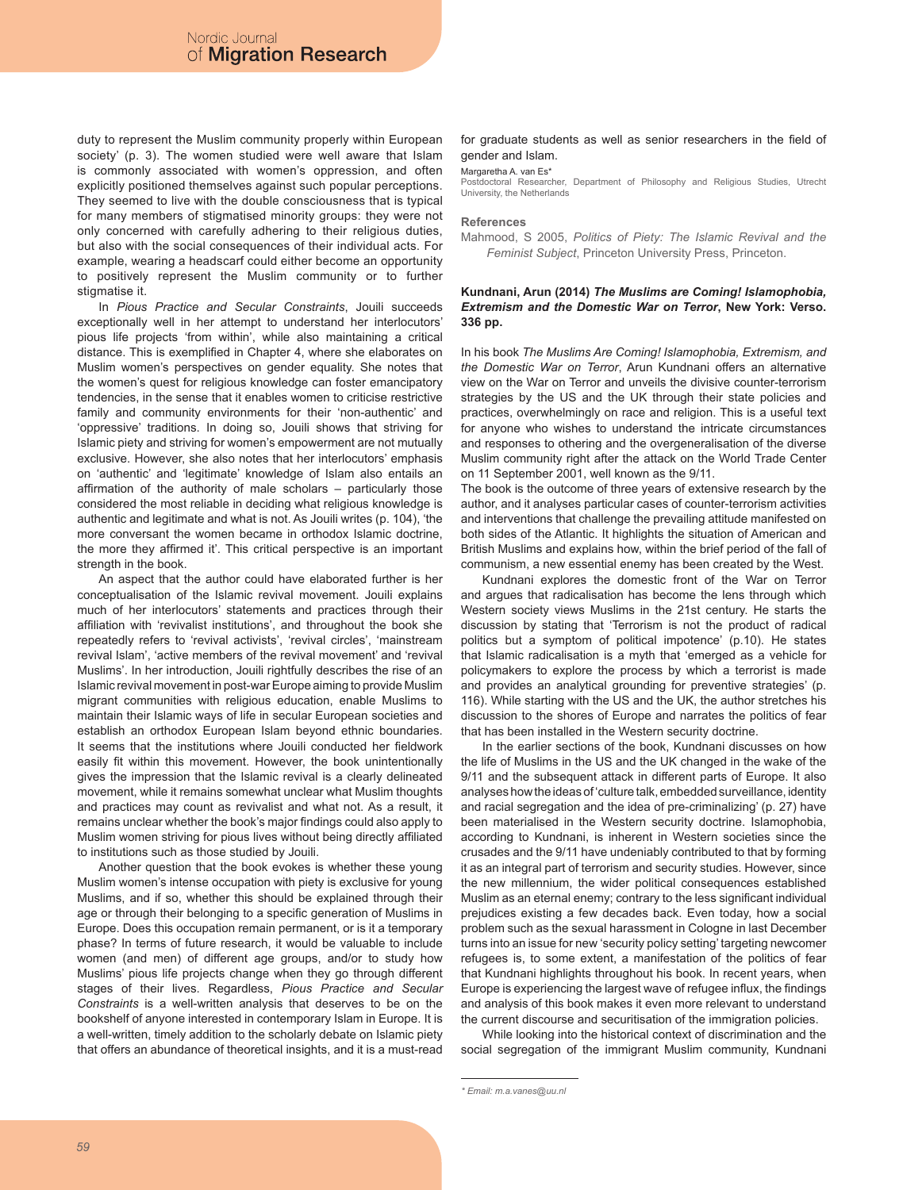duty to represent the Muslim community properly within European society' (p. 3). The women studied were well aware that Islam is commonly associated with women's oppression, and often explicitly positioned themselves against such popular perceptions. They seemed to live with the double consciousness that is typical for many members of stigmatised minority groups: they were not only concerned with carefully adhering to their religious duties, but also with the social consequences of their individual acts. For example, wearing a headscarf could either become an opportunity to positively represent the Muslim community or to further stigmatise it.

In *Pious Practice and Secular Constraints*, Jouili succeeds exceptionally well in her attempt to understand her interlocutors' pious life projects 'from within', while also maintaining a critical distance. This is exemplified in Chapter 4, where she elaborates on Muslim women's perspectives on gender equality. She notes that the women's quest for religious knowledge can foster emancipatory tendencies, in the sense that it enables women to criticise restrictive family and community environments for their 'non-authentic' and 'oppressive' traditions. In doing so, Jouili shows that striving for Islamic piety and striving for women's empowerment are not mutually exclusive. However, she also notes that her interlocutors' emphasis on 'authentic' and 'legitimate' knowledge of Islam also entails an affirmation of the authority of male scholars – particularly those considered the most reliable in deciding what religious knowledge is authentic and legitimate and what is not. As Jouili writes (p. 104), 'the more conversant the women became in orthodox Islamic doctrine, the more they affirmed it'. This critical perspective is an important strength in the book.

An aspect that the author could have elaborated further is her conceptualisation of the Islamic revival movement. Jouili explains much of her interlocutors' statements and practices through their affiliation with 'revivalist institutions', and throughout the book she repeatedly refers to 'revival activists', 'revival circles', 'mainstream revival Islam', 'active members of the revival movement' and 'revival Muslims'. In her introduction, Jouili rightfully describes the rise of an Islamic revival movement in post-war Europe aiming to provide Muslim migrant communities with religious education, enable Muslims to maintain their Islamic ways of life in secular European societies and establish an orthodox European Islam beyond ethnic boundaries. It seems that the institutions where Jouili conducted her fieldwork easily fit within this movement. However, the book unintentionally gives the impression that the Islamic revival is a clearly delineated movement, while it remains somewhat unclear what Muslim thoughts and practices may count as revivalist and what not. As a result, it remains unclear whether the book's major findings could also apply to Muslim women striving for pious lives without being directly affiliated to institutions such as those studied by Jouili.

Another question that the book evokes is whether these young Muslim women's intense occupation with piety is exclusive for young Muslims, and if so, whether this should be explained through their age or through their belonging to a specific generation of Muslims in Europe. Does this occupation remain permanent, or is it a temporary phase? In terms of future research, it would be valuable to include women (and men) of different age groups, and/or to study how Muslims' pious life projects change when they go through different stages of their lives. Regardless, *Pious Practice and Secular Constraints* is a well-written analysis that deserves to be on the bookshelf of anyone interested in contemporary Islam in Europe. It is a well-written, timely addition to the scholarly debate on Islamic piety that offers an abundance of theoretical insights, and it is a must-read

#### for graduate students as well as senior researchers in the field of gender and Islam.

Margaretha A. van Es\* Postdoctoral Researcher, Department of Philosophy and Religious Studies, Utrecht University, the Netherlands

#### **References**

Mahmood, S 2005, *Politics of Piety: The Islamic Revival and the Feminist Subject*, Princeton University Press, Princeton.

# **Kundnani, Arun (2014)** *The Muslims are Coming! Islamophobia, Extremism and the Domestic War on Terror***, New York: Verso. 336 pp.**

In his book *The Muslims Are Coming! Islamophobia, Extremism, and the Domestic War on Terror*, Arun Kundnani offers an alternative view on the War on Terror and unveils the divisive counter-terrorism strategies by the US and the UK through their state policies and practices, overwhelmingly on race and religion. This is a useful text for anyone who wishes to understand the intricate circumstances and responses to othering and the overgeneralisation of the diverse Muslim community right after the attack on the World Trade Center on 11 September 2001, well known as the 9/11.

The book is the outcome of three years of extensive research by the author, and it analyses particular cases of counter-terrorism activities and interventions that challenge the prevailing attitude manifested on both sides of the Atlantic. It highlights the situation of American and British Muslims and explains how, within the brief period of the fall of communism, a new essential enemy has been created by the West.

Kundnani explores the domestic front of the War on Terror and argues that radicalisation has become the lens through which Western society views Muslims in the 21st century. He starts the discussion by stating that 'Terrorism is not the product of radical politics but a symptom of political impotence' (p.10). He states that Islamic radicalisation is a myth that 'emerged as a vehicle for policymakers to explore the process by which a terrorist is made and provides an analytical grounding for preventive strategies' (p. 116). While starting with the US and the UK, the author stretches his discussion to the shores of Europe and narrates the politics of fear that has been installed in the Western security doctrine.

In the earlier sections of the book, Kundnani discusses on how the life of Muslims in the US and the UK changed in the wake of the 9/11 and the subsequent attack in different parts of Europe. It also analyses how the ideas of 'culture talk, embedded surveillance, identity and racial segregation and the idea of pre-criminalizing' (p. 27) have been materialised in the Western security doctrine. Islamophobia, according to Kundnani, is inherent in Western societies since the crusades and the 9/11 have undeniably contributed to that by forming it as an integral part of terrorism and security studies. However, since the new millennium, the wider political consequences established Muslim as an eternal enemy; contrary to the less significant individual prejudices existing a few decades back. Even today, how a social problem such as the sexual harassment in Cologne in last December turns into an issue for new 'security policy setting' targeting newcomer refugees is, to some extent, a manifestation of the politics of fear that Kundnani highlights throughout his book. In recent years, when Europe is experiencing the largest wave of refugee influx, the findings and analysis of this book makes it even more relevant to understand the current discourse and securitisation of the immigration policies.

While looking into the historical context of discrimination and the social segregation of the immigrant Muslim community, Kundnani

*<sup>\*</sup> Email: m.a.vanes@uu.nl*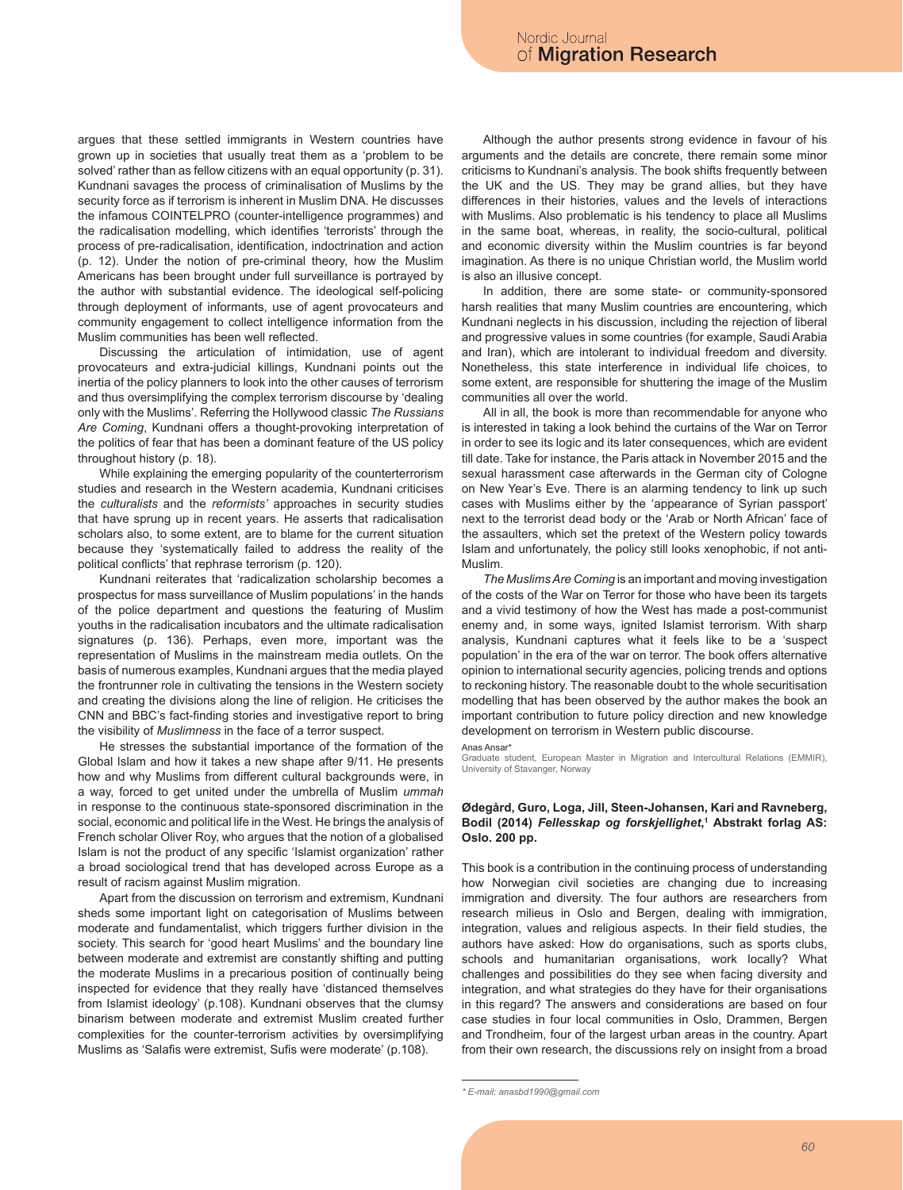argues that these settled immigrants in Western countries have grown up in societies that usually treat them as a 'problem to be solved' rather than as fellow citizens with an equal opportunity (p. 31). Kundnani savages the process of criminalisation of Muslims by the security force as if terrorism is inherent in Muslim DNA. He discusses the infamous COINTELPRO (counter-intelligence programmes) and the radicalisation modelling, which identifies 'terrorists' through the process of pre-radicalisation, identification, indoctrination and action (p. 12). Under the notion of pre-criminal theory, how the Muslim Americans has been brought under full surveillance is portrayed by the author with substantial evidence. The ideological self-policing through deployment of informants, use of agent provocateurs and community engagement to collect intelligence information from the Muslim communities has been well reflected.

Discussing the articulation of intimidation, use of agent provocateurs and extra-judicial killings, Kundnani points out the inertia of the policy planners to look into the other causes of terrorism and thus oversimplifying the complex terrorism discourse by 'dealing only with the Muslims'. Referring the Hollywood classic *The Russians Are Coming*, Kundnani offers a thought-provoking interpretation of the politics of fear that has been a dominant feature of the US policy throughout history (p. 18).

While explaining the emerging popularity of the counterterrorism studies and research in the Western academia, Kundnani criticises the *culturalists* and the *reformists'* approaches in security studies that have sprung up in recent years. He asserts that radicalisation scholars also, to some extent, are to blame for the current situation because they 'systematically failed to address the reality of the political conflicts' that rephrase terrorism (p. 120).

Kundnani reiterates that 'radicalization scholarship becomes a prospectus for mass surveillance of Muslim populations' in the hands of the police department and questions the featuring of Muslim youths in the radicalisation incubators and the ultimate radicalisation signatures (p. 136). Perhaps, even more, important was the representation of Muslims in the mainstream media outlets. On the basis of numerous examples, Kundnani argues that the media played the frontrunner role in cultivating the tensions in the Western society and creating the divisions along the line of religion. He criticises the CNN and BBC's fact-finding stories and investigative report to bring the visibility of *Muslimness* in the face of a terror suspect.

He stresses the substantial importance of the formation of the Global Islam and how it takes a new shape after 9/11. He presents how and why Muslims from different cultural backgrounds were, in a way, forced to get united under the umbrella of Muslim *ummah* in response to the continuous state-sponsored discrimination in the social, economic and political life in the West. He brings the analysis of French scholar Oliver Roy, who argues that the notion of a globalised Islam is not the product of any specific 'Islamist organization' rather a broad sociological trend that has developed across Europe as a result of racism against Muslim migration.

Apart from the discussion on terrorism and extremism, Kundnani sheds some important light on categorisation of Muslims between moderate and fundamentalist, which triggers further division in the society. This search for 'good heart Muslims' and the boundary line between moderate and extremist are constantly shifting and putting the moderate Muslims in a precarious position of continually being inspected for evidence that they really have 'distanced themselves from Islamist ideology' (p.108). Kundnani observes that the clumsy binarism between moderate and extremist Muslim created further complexities for the counter-terrorism activities by oversimplifying Muslims as 'Salafis were extremist, Sufis were moderate' (p.108).

Although the author presents strong evidence in favour of his arguments and the details are concrete, there remain some minor criticisms to Kundnani's analysis. The book shifts frequently between the UK and the US. They may be grand allies, but they have differences in their histories, values and the levels of interactions with Muslims. Also problematic is his tendency to place all Muslims in the same boat, whereas, in reality, the socio-cultural, political and economic diversity within the Muslim countries is far beyond imagination. As there is no unique Christian world, the Muslim world is also an illusive concept.

In addition, there are some state- or community-sponsored harsh realities that many Muslim countries are encountering, which Kundnani neglects in his discussion, including the rejection of liberal and progressive values in some countries (for example, Saudi Arabia and Iran), which are intolerant to individual freedom and diversity. Nonetheless, this state interference in individual life choices, to some extent, are responsible for shuttering the image of the Muslim communities all over the world.

All in all, the book is more than recommendable for anyone who is interested in taking a look behind the curtains of the War on Terror in order to see its logic and its later consequences, which are evident till date. Take for instance, the Paris attack in November 2015 and the sexual harassment case afterwards in the German city of Cologne on New Year's Eve. There is an alarming tendency to link up such cases with Muslims either by the 'appearance of Syrian passport' next to the terrorist dead body or the 'Arab or North African' face of the assaulters, which set the pretext of the Western policy towards Islam and unfortunately, the policy still looks xenophobic, if not anti-Muslim.

*The Muslims Are Coming* is an important and moving investigation of the costs of the War on Terror for those who have been its targets and a vivid testimony of how the West has made a post-communist enemy and, in some ways, ignited Islamist terrorism. With sharp analysis, Kundnani captures what it feels like to be a 'suspect population' in the era of the war on terror. The book offers alternative opinion to international security agencies, policing trends and options to reckoning history. The reasonable doubt to the whole securitisation modelling that has been observed by the author makes the book an important contribution to future policy direction and new knowledge development on terrorism in Western public discourse.

#### Anas Ansar\*

Graduate student, European Master in Migration and Intercultural Relations (EMMIR), University of Stavanger, Norway

# **Ødegård, Guro, Loga, Jill, Steen-Johansen, Kari and Ravneberg, Bodil (2014)** *Fellesskap og forskjellighet***, 1 Abstrakt forlag AS: Oslo. 200 pp.**

This book is a contribution in the continuing process of understanding how Norwegian civil societies are changing due to increasing immigration and diversity. The four authors are researchers from research milieus in Oslo and Bergen, dealing with immigration, integration, values and religious aspects. In their field studies, the authors have asked: How do organisations, such as sports clubs, schools and humanitarian organisations, work locally? What challenges and possibilities do they see when facing diversity and integration, and what strategies do they have for their organisations in this regard? The answers and considerations are based on four case studies in four local communities in Oslo, Drammen, Bergen and Trondheim, four of the largest urban areas in the country. Apart from their own research, the discussions rely on insight from a broad

*<sup>\*</sup> E-mail: anasbd1990@gmail.com*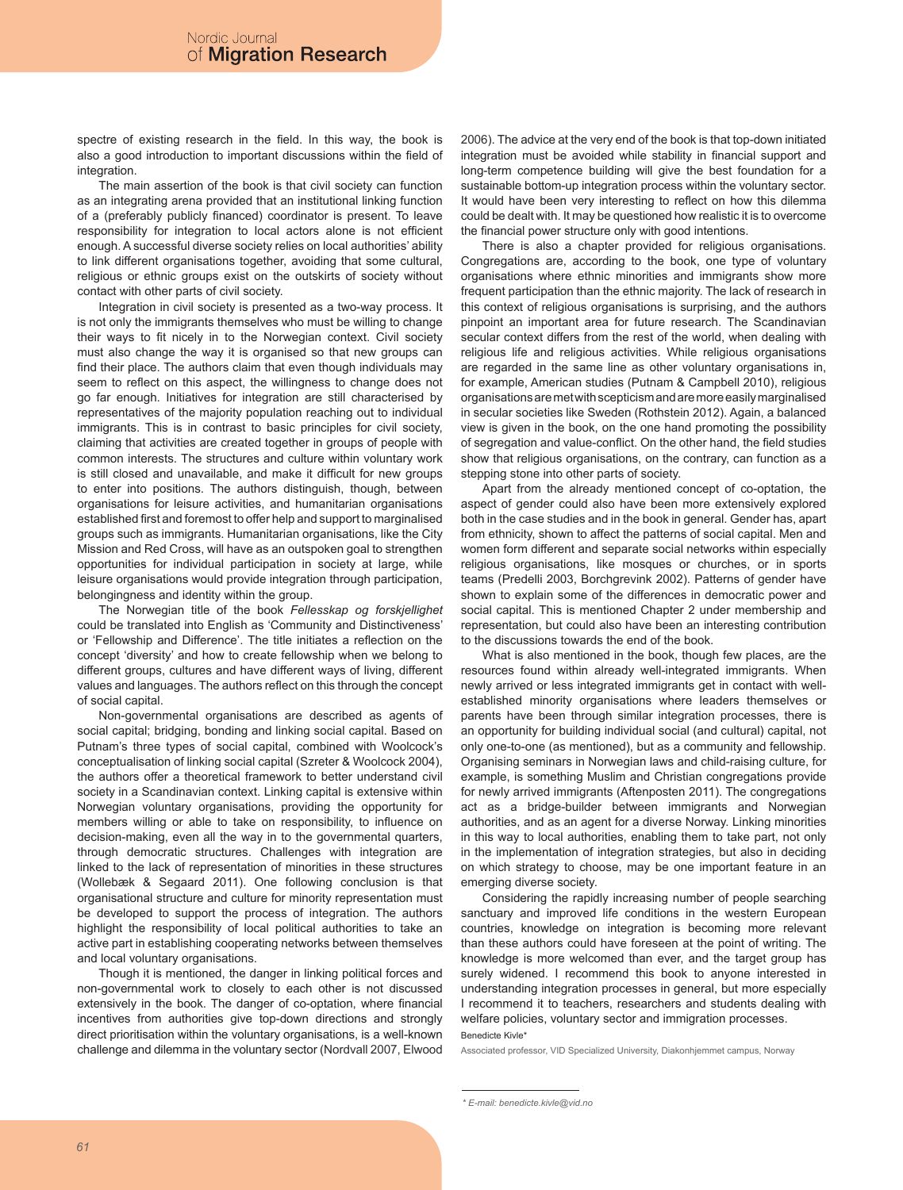spectre of existing research in the field. In this way, the book is also a good introduction to important discussions within the field of integration.

The main assertion of the book is that civil society can function as an integrating arena provided that an institutional linking function of a (preferably publicly financed) coordinator is present. To leave responsibility for integration to local actors alone is not efficient enough. A successful diverse society relies on local authorities' ability to link different organisations together, avoiding that some cultural, religious or ethnic groups exist on the outskirts of society without contact with other parts of civil society.

Integration in civil society is presented as a two-way process. It is not only the immigrants themselves who must be willing to change their ways to fit nicely in to the Norwegian context. Civil society must also change the way it is organised so that new groups can find their place. The authors claim that even though individuals may seem to reflect on this aspect, the willingness to change does not go far enough. Initiatives for integration are still characterised by representatives of the majority population reaching out to individual immigrants. This is in contrast to basic principles for civil society, claiming that activities are created together in groups of people with common interests. The structures and culture within voluntary work is still closed and unavailable, and make it difficult for new groups to enter into positions. The authors distinguish, though, between organisations for leisure activities, and humanitarian organisations established first and foremost to offer help and support to marginalised groups such as immigrants. Humanitarian organisations, like the City Mission and Red Cross, will have as an outspoken goal to strengthen opportunities for individual participation in society at large, while leisure organisations would provide integration through participation, belongingness and identity within the group.

The Norwegian title of the book *Fellesskap og forskjellighet* could be translated into English as 'Community and Distinctiveness' or 'Fellowship and Difference'. The title initiates a reflection on the concept 'diversity' and how to create fellowship when we belong to different groups, cultures and have different ways of living, different values and languages. The authors reflect on this through the concept of social capital.

Non-governmental organisations are described as agents of social capital; bridging, bonding and linking social capital. Based on Putnam's three types of social capital, combined with Woolcock's conceptualisation of linking social capital (Szreter & Woolcock 2004), the authors offer a theoretical framework to better understand civil society in a Scandinavian context. Linking capital is extensive within Norwegian voluntary organisations, providing the opportunity for members willing or able to take on responsibility, to influence on decision-making, even all the way in to the governmental quarters, through democratic structures. Challenges with integration are linked to the lack of representation of minorities in these structures (Wollebæk & Segaard 2011). One following conclusion is that organisational structure and culture for minority representation must be developed to support the process of integration. The authors highlight the responsibility of local political authorities to take an active part in establishing cooperating networks between themselves and local voluntary organisations.

Though it is mentioned, the danger in linking political forces and non-governmental work to closely to each other is not discussed extensively in the book. The danger of co-optation, where financial incentives from authorities give top-down directions and strongly direct prioritisation within the voluntary organisations, is a well-known challenge and dilemma in the voluntary sector (Nordvall 2007, Elwood 2006). The advice at the very end of the book is that top-down initiated integration must be avoided while stability in financial support and long-term competence building will give the best foundation for a sustainable bottom-up integration process within the voluntary sector. It would have been very interesting to reflect on how this dilemma could be dealt with. It may be questioned how realistic it is to overcome the financial power structure only with good intentions.

There is also a chapter provided for religious organisations. Congregations are, according to the book, one type of voluntary organisations where ethnic minorities and immigrants show more frequent participation than the ethnic majority. The lack of research in this context of religious organisations is surprising, and the authors pinpoint an important area for future research. The Scandinavian secular context differs from the rest of the world, when dealing with religious life and religious activities. While religious organisations are regarded in the same line as other voluntary organisations in, for example, American studies (Putnam & Campbell 2010), religious organisations are met with scepticism and are more easily marginalised in secular societies like Sweden (Rothstein 2012). Again, a balanced view is given in the book, on the one hand promoting the possibility of segregation and value-conflict. On the other hand, the field studies show that religious organisations, on the contrary, can function as a stepping stone into other parts of society.

Apart from the already mentioned concept of co-optation, the aspect of gender could also have been more extensively explored both in the case studies and in the book in general. Gender has, apart from ethnicity, shown to affect the patterns of social capital. Men and women form different and separate social networks within especially religious organisations, like mosques or churches, or in sports teams (Predelli 2003, Borchgrevink 2002). Patterns of gender have shown to explain some of the differences in democratic power and social capital. This is mentioned Chapter 2 under membership and representation, but could also have been an interesting contribution to the discussions towards the end of the book.

What is also mentioned in the book, though few places, are the resources found within already well-integrated immigrants. When newly arrived or less integrated immigrants get in contact with wellestablished minority organisations where leaders themselves or parents have been through similar integration processes, there is an opportunity for building individual social (and cultural) capital, not only one-to-one (as mentioned), but as a community and fellowship. Organising seminars in Norwegian laws and child-raising culture, for example, is something Muslim and Christian congregations provide for newly arrived immigrants (Aftenposten 2011). The congregations act as a bridge-builder between immigrants and Norwegian authorities, and as an agent for a diverse Norway. Linking minorities in this way to local authorities, enabling them to take part, not only in the implementation of integration strategies, but also in deciding on which strategy to choose, may be one important feature in an emerging diverse society.

Considering the rapidly increasing number of people searching sanctuary and improved life conditions in the western European countries, knowledge on integration is becoming more relevant than these authors could have foreseen at the point of writing. The knowledge is more welcomed than ever, and the target group has surely widened. I recommend this book to anyone interested in understanding integration processes in general, but more especially I recommend it to teachers, researchers and students dealing with welfare policies, voluntary sector and immigration processes. Benedicte Kivle\*

Associated professor, VID Specialized University, Diakonhjemmet campus, Norway

*<sup>\*</sup> E-mail: benedicte.kivle@vid.no*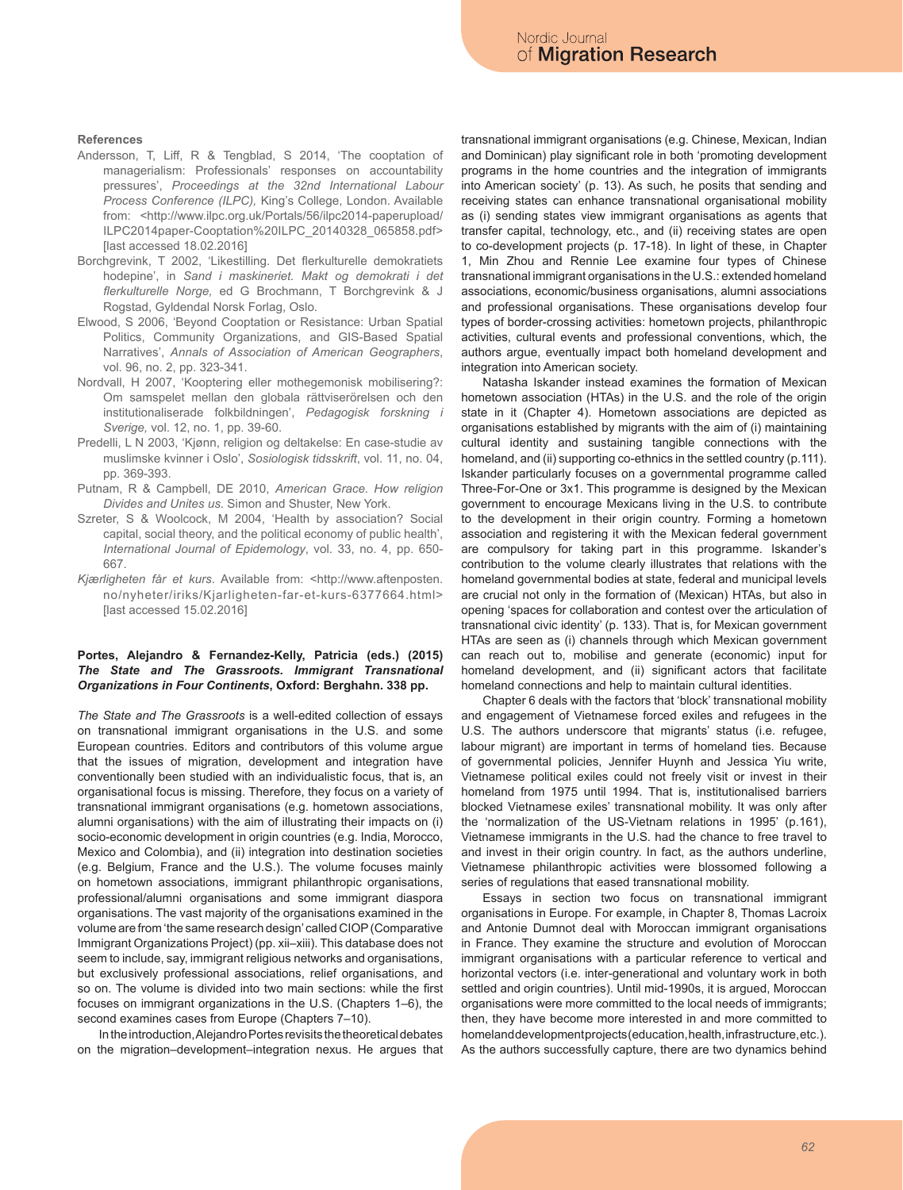### **References**

- Andersson, T, Liff, R & Tengblad, S 2014, 'The cooptation of managerialism: Professionals' responses on accountability pressures', *Proceedings at the 32nd International Labour Process Conference (ILPC),* King's College, London. Available from: <http://www.ilpc.org.uk/Portals/56/ilpc2014-paperupload/ ILPC2014paper-Cooptation%20ILPC\_20140328\_065858.pdf> [last accessed 18.02.2016]
- Borchgrevink, T 2002, 'Likestilling. Det flerkulturelle demokratiets hodepine', in *Sand i maskineriet. Makt og demokrati i det flerkulturelle Norge,* ed G Brochmann, T Borchgrevink & J Rogstad, Gyldendal Norsk Forlag, Oslo.
- Elwood, S 2006, 'Beyond Cooptation or Resistance: Urban Spatial Politics, Community Organizations, and GIS-Based Spatial Narratives', *Annals of Association of American Geographers*, vol. 96, no. 2, pp. 323-341.
- Nordvall, H 2007, 'Kooptering eller mothegemonisk mobilisering?: Om samspelet mellan den globala rättviserörelsen och den institutionaliserade folkbildningen', *Pedagogisk forskning i Sverige,* vol. 12, no. 1, pp. 39-60.
- Predelli, L N 2003, 'Kjønn, religion og deltakelse: En case-studie av muslimske kvinner i Oslo', *Sosiologisk tidsskrift*, vol. 11, no. 04, pp. 369-393.
- Putnam, R & Campbell, DE 2010, *American Grace. How religion Divides and Unites us*. Simon and Shuster, New York.
- Szreter, S & Woolcock, M 2004, 'Health by association? Social capital, social theory, and the political economy of public health', *International Journal of Epidemology*, vol. 33, no. 4, pp. 650- 667.
- *Kjærligheten får et kurs*. Available from: <http://www.aftenposten. no/nyheter/iriks/Kjarligheten-far-et-kurs-6377664.html> [last accessed 15.02.2016]

# **Portes, Alejandro & Fernandez-Kelly, Patricia (eds.) (2015)**  *The State and The Grassroots. Immigrant Transnational Organizations in Four Continents***, Oxford: Berghahn. 338 pp.**

*The State and The Grassroots* is a well-edited collection of essays on transnational immigrant organisations in the U.S. and some European countries. Editors and contributors of this volume argue that the issues of migration, development and integration have conventionally been studied with an individualistic focus, that is, an organisational focus is missing. Therefore, they focus on a variety of transnational immigrant organisations (e.g. hometown associations, alumni organisations) with the aim of illustrating their impacts on (i) socio-economic development in origin countries (e.g. India, Morocco, Mexico and Colombia), and (ii) integration into destination societies (e.g. Belgium, France and the U.S.). The volume focuses mainly on hometown associations, immigrant philanthropic organisations, professional/alumni organisations and some immigrant diaspora organisations. The vast majority of the organisations examined in the volume are from 'the same research design' called CIOP (Comparative Immigrant Organizations Project) (pp. xii–xiii). This database does not seem to include, say, immigrant religious networks and organisations, but exclusively professional associations, relief organisations, and so on. The volume is divided into two main sections: while the first focuses on immigrant organizations in the U.S. (Chapters 1–6), the second examines cases from Europe (Chapters 7–10).

In the introduction, Alejandro Portes revisits the theoretical debates on the migration–development–integration nexus. He argues that transnational immigrant organisations (e.g. Chinese, Mexican, Indian and Dominican) play significant role in both 'promoting development programs in the home countries and the integration of immigrants into American society' (p. 13). As such, he posits that sending and receiving states can enhance transnational organisational mobility as (i) sending states view immigrant organisations as agents that transfer capital, technology, etc., and (ii) receiving states are open to co-development projects (p. 17-18). In light of these, in Chapter 1, Min Zhou and Rennie Lee examine four types of Chinese transnational immigrant organisations in the U.S.: extended homeland associations, economic/business organisations, alumni associations and professional organisations. These organisations develop four types of border-crossing activities: hometown projects, philanthropic activities, cultural events and professional conventions, which, the authors argue, eventually impact both homeland development and integration into American society.

Natasha Iskander instead examines the formation of Mexican hometown association (HTAs) in the U.S. and the role of the origin state in it (Chapter 4). Hometown associations are depicted as organisations established by migrants with the aim of (i) maintaining cultural identity and sustaining tangible connections with the homeland, and (ii) supporting co-ethnics in the settled country (p.111). Iskander particularly focuses on a governmental programme called Three-For-One or 3x1. This programme is designed by the Mexican government to encourage Mexicans living in the U.S. to contribute to the development in their origin country. Forming a hometown association and registering it with the Mexican federal government are compulsory for taking part in this programme. Iskander's contribution to the volume clearly illustrates that relations with the homeland governmental bodies at state, federal and municipal levels are crucial not only in the formation of (Mexican) HTAs, but also in opening 'spaces for collaboration and contest over the articulation of transnational civic identity' (p. 133). That is, for Mexican government HTAs are seen as (i) channels through which Mexican government can reach out to, mobilise and generate (economic) input for homeland development, and (ii) significant actors that facilitate homeland connections and help to maintain cultural identities.

Chapter 6 deals with the factors that 'block' transnational mobility and engagement of Vietnamese forced exiles and refugees in the U.S. The authors underscore that migrants' status (i.e. refugee, labour migrant) are important in terms of homeland ties. Because of governmental policies, Jennifer Huynh and Jessica Yiu write, Vietnamese political exiles could not freely visit or invest in their homeland from 1975 until 1994. That is, institutionalised barriers blocked Vietnamese exiles' transnational mobility. It was only after the 'normalization of the US-Vietnam relations in 1995' (p.161), Vietnamese immigrants in the U.S. had the chance to free travel to and invest in their origin country. In fact, as the authors underline, Vietnamese philanthropic activities were blossomed following a series of regulations that eased transnational mobility.

Essays in section two focus on transnational immigrant organisations in Europe. For example, in Chapter 8, Thomas Lacroix and Antonie Dumnot deal with Moroccan immigrant organisations in France. They examine the structure and evolution of Moroccan immigrant organisations with a particular reference to vertical and horizontal vectors (i.e. inter-generational and voluntary work in both settled and origin countries). Until mid-1990s, it is argued, Moroccan organisations were more committed to the local needs of immigrants; then, they have become more interested in and more committed to homeland development projects (education, health, infrastructure, etc.). As the authors successfully capture, there are two dynamics behind